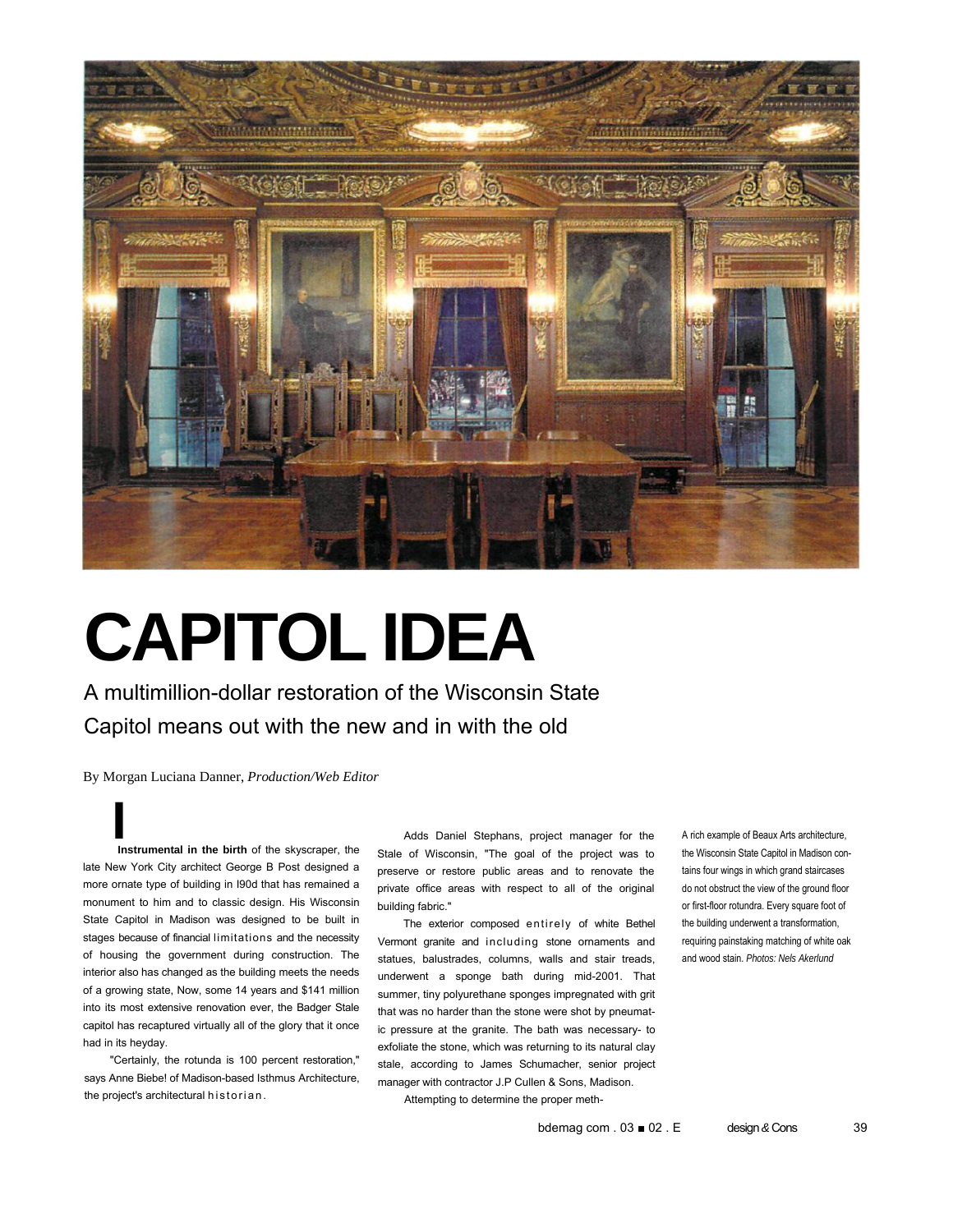

# **CAPITOL IDEA**

A multimillion-dollar restoration of the Wisconsin State Capitol means out with the new and in with the old

By Morgan Luciana Danner, *Production/Web Editor*

**I**<br> **Instrumental in the birth** of the skyscraper, the late New York City architect George B Post designed a more ornate type of building in I90d that has remained a monument to him and to classic design. His Wisconsin State Capitol in Madison was designed to be built in stages because of financial limitations and the necessity of housing the government during construction. The interior also has changed as the building meets the needs of a growing state, Now, some 14 years and \$141 million into its most extensive renovation ever, the Badger Stale capitol has recaptured virtually all of the glory that it once had in its heyday.

"Certainly, the rotunda is 100 percent restoration," says Anne Biebe! of Madison-based Isthmus Architecture, the project's architectural historian.

Adds Daniel Stephans, project manager for the Stale of Wisconsin, "The goal of the project was to preserve or restore public areas and to renovate the private office areas with respect to all of the original building fabric."

The exterior composed entirely of white Bethel Vermont granite and including stone ornaments and statues, balustrades, columns, walls and stair treads, underwent a sponge bath during mid-2001. That summer, tiny polyurethane sponges impregnated with grit that was no harder than the stone were shot by pneumatic pressure at the granite. The bath was necessary- to exfoliate the stone, which was returning to its natural clay stale, according to James Schumacher, senior project manager with contractor J.P Cullen & Sons, Madison. Attempting to determine the proper methA rich example of Beaux Arts architecture, the Wisconsin State Capitol in Madison contains four wings in which grand staircases do not obstruct the view of the ground floor or first-floor rotundra. Every square foot of the building underwent a transformation, requiring painstaking matching of white oak and wood stain. *Photos: Nels Akerlund*